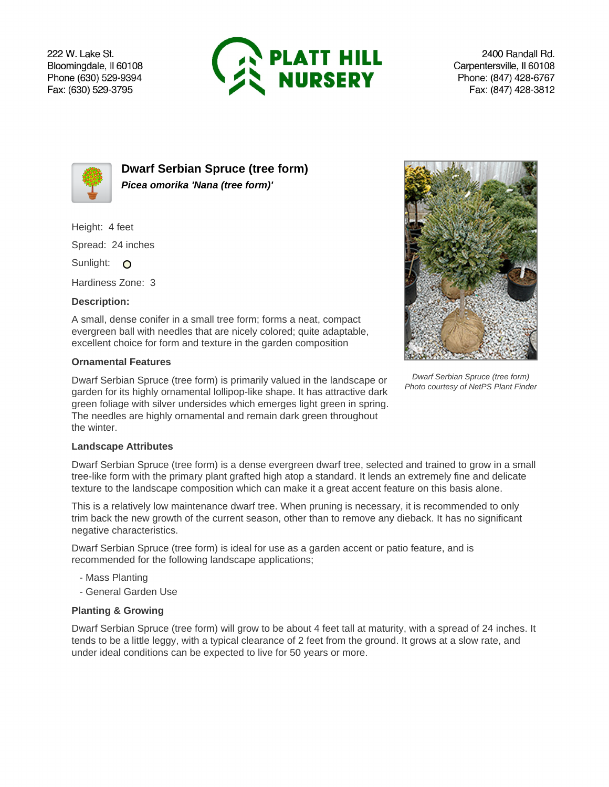222 W. Lake St. Bloomingdale, Il 60108 Phone (630) 529-9394 Fax: (630) 529-3795



2400 Randall Rd. Carpentersville, Il 60108 Phone: (847) 428-6767 Fax: (847) 428-3812



**Dwarf Serbian Spruce (tree form) Picea omorika 'Nana (tree form)'**

Height: 4 feet

Spread: 24 inches

Sunlight: O

Hardiness Zone: 3

## **Description:**

A small, dense conifer in a small tree form; forms a neat, compact evergreen ball with needles that are nicely colored; quite adaptable, excellent choice for form and texture in the garden composition

## **Ornamental Features**

Dwarf Serbian Spruce (tree form) is primarily valued in the landscape or garden for its highly ornamental lollipop-like shape. It has attractive dark green foliage with silver undersides which emerges light green in spring. The needles are highly ornamental and remain dark green throughout the winter.



Dwarf Serbian Spruce (tree form) Photo courtesy of NetPS Plant Finder

## **Landscape Attributes**

Dwarf Serbian Spruce (tree form) is a dense evergreen dwarf tree, selected and trained to grow in a small tree-like form with the primary plant grafted high atop a standard. It lends an extremely fine and delicate texture to the landscape composition which can make it a great accent feature on this basis alone.

This is a relatively low maintenance dwarf tree. When pruning is necessary, it is recommended to only trim back the new growth of the current season, other than to remove any dieback. It has no significant negative characteristics.

Dwarf Serbian Spruce (tree form) is ideal for use as a garden accent or patio feature, and is recommended for the following landscape applications;

- Mass Planting
- General Garden Use

## **Planting & Growing**

Dwarf Serbian Spruce (tree form) will grow to be about 4 feet tall at maturity, with a spread of 24 inches. It tends to be a little leggy, with a typical clearance of 2 feet from the ground. It grows at a slow rate, and under ideal conditions can be expected to live for 50 years or more.